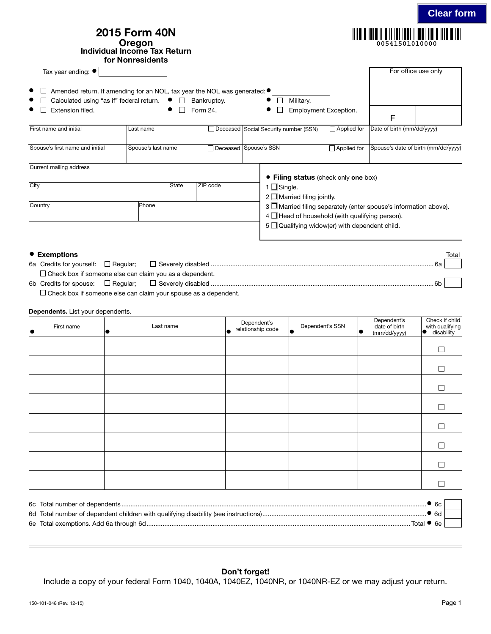|                                                                                                                                                               | for Nonresidents   | <b>Individual Income Tax Return</b> |                         |                                       |                                                                                                                | 00541501010000                                                  |
|---------------------------------------------------------------------------------------------------------------------------------------------------------------|--------------------|-------------------------------------|-------------------------|---------------------------------------|----------------------------------------------------------------------------------------------------------------|-----------------------------------------------------------------|
| Tax year ending: $\bullet$                                                                                                                                    |                    |                                     |                         |                                       |                                                                                                                | For office use only                                             |
| Amended return. If amending for an NOL, tax year the NOL was generated: ●<br>Calculated using "as if" federal return. $\bullet$ $\square$<br>Extension filed. |                    |                                     | Bankruptcy.<br>Form 24. |                                       | Military.<br>Employment Exception.                                                                             | F                                                               |
| First name and initial                                                                                                                                        | Last name          |                                     |                         | Deceased Social Security number (SSN) | $\Box$ Applied for                                                                                             | Date of birth (mm/dd/yyyy)                                      |
| Spouse's first name and initial                                                                                                                               | Spouse's last name |                                     |                         | □ Deceased Spouse's SSN               | $\Box$ Applied for                                                                                             | Spouse's date of birth (mm/dd/yyyy)                             |
| Current mailing address                                                                                                                                       |                    |                                     |                         |                                       |                                                                                                                |                                                                 |
|                                                                                                                                                               |                    |                                     |                         |                                       | • Filing status (check only one box)                                                                           |                                                                 |
| City                                                                                                                                                          |                    | <b>State</b>                        | ZIP code                | $1 \square$ Single.                   | $2 \Box$ Married filing jointly.                                                                               |                                                                 |
| Country                                                                                                                                                       | Phone              |                                     |                         |                                       | $4 \Box$ Head of household (with qualifying person).<br>$5 \square$ Qualifying widow(er) with dependent child. | 3 Married filing separately (enter spouse's information above). |

## • Exemptions Total Total Total Total Total Total Total Total Total Total Total Total Total Total Total Total Total Total Total Total Total Total Total Total Total Total Total Total Total Total Total Total Total Total Total

|  | 6a Credits for yourself: $\Box$ Regular: $\Box$ Severely disabled<br>6а |  |
|--|-------------------------------------------------------------------------|--|
|  | $\Box$ Check box if someone else can claim you as a dependent.          |  |
|  | 6b Credits for spouse: $\Box$ Requiar: $\Box$ Severely disabled         |  |

 $\square$  Check box if someone else can claim your spouse as a dependent.

## Dependents. List your dependents.

| First name | Last name | Dependent's<br>relationship code<br>L | Dependent's SSN<br>$\bullet$ | Dependent's<br>date of birth<br>10<br>(mm/dd/yyyy) | Check if child<br>with qualifying<br>disability<br>IO |
|------------|-----------|---------------------------------------|------------------------------|----------------------------------------------------|-------------------------------------------------------|
|            |           |                                       |                              |                                                    | $\Box$                                                |
|            |           |                                       |                              |                                                    | $\Box$                                                |
|            |           |                                       |                              |                                                    | $\Box$                                                |
|            |           |                                       |                              |                                                    | П                                                     |
|            |           |                                       |                              |                                                    | $\Box$                                                |
|            |           |                                       |                              |                                                    | $\Box$                                                |
|            |           |                                       |                              |                                                    | $\Box$                                                |
|            |           |                                       |                              |                                                    | П                                                     |
|            |           |                                       |                              |                                                    |                                                       |

|                    | . 60 |  |
|--------------------|------|--|
|                    | ) eq |  |
| Total $\bullet$ 6e |      |  |

## Don't forget!

Include a copy of your federal Form 1040, 1040A, 1040EZ, 1040NR, or 1040NR-EZ or we may adjust your return.

**Clear form**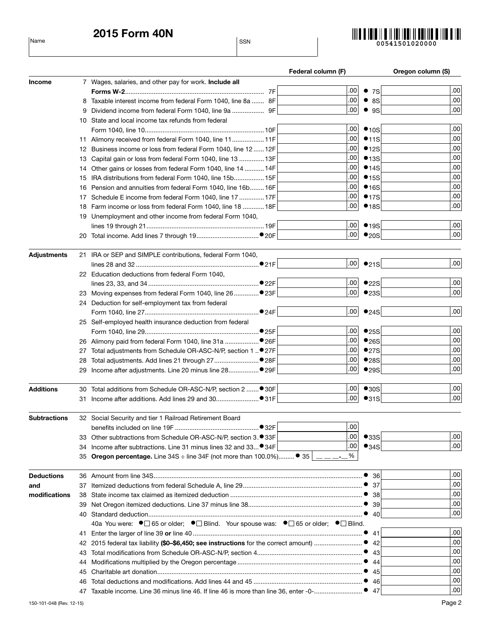2015 Form 40N Name States and the SSN states of the SSN states and the SSN states of the SSN states of the SSN states of the SSN states of the SSN states of the SSN states of the SSN states of the SSN states of the SSN states of the SSN



|                    |    |                                                                                                                                               | Federal column (F) |              | Oregon column (S) |
|--------------------|----|-----------------------------------------------------------------------------------------------------------------------------------------------|--------------------|--------------|-------------------|
| <b>Income</b>      |    | 7 Wages, salaries, and other pay for work. Include all                                                                                        |                    |              |                   |
|                    |    |                                                                                                                                               | .00                | • 7S         | .00               |
|                    |    | 8 Taxable interest income from federal Form 1040, line 8a  8F                                                                                 | .00                | • 8S         | .00               |
|                    | 9  |                                                                                                                                               | .00                | $•$ 9S       | .00               |
|                    |    | 10 State and local income tax refunds from federal                                                                                            |                    |              |                   |
|                    |    |                                                                                                                                               | .00                | •10S         | .00               |
|                    |    | 11 Alimony received from federal Form 1040, line 11 11F                                                                                       | .00                | •11S         | .00               |
|                    |    | 12 Business income or loss from federal Form 1040, line 12  12F                                                                               | .00                | •12S         | .00               |
|                    |    | 13 Capital gain or loss from federal Form 1040, line 13  13F                                                                                  | .00                | •13S         | .00               |
|                    |    | 14 Other gains or losses from federal Form 1040, line 14  14F                                                                                 | .00                | •14S         | .00               |
|                    |    | 15 IRA distributions from federal Form 1040, line 15b 15F                                                                                     | .00                | •15S         | .00               |
|                    |    | 16 Pension and annuities from federal Form 1040, line 16b 16F                                                                                 | .00                | •16S         | .00               |
|                    |    | 17 Schedule E income from federal Form 1040, line 17  17F                                                                                     | .00                | •17S         | .00               |
|                    |    | 18 Farm income or loss from federal Form 1040, line 18  18F                                                                                   | .00                | •18S         | .00               |
|                    |    | 19 Unemployment and other income from federal Form 1040,                                                                                      |                    |              |                   |
|                    |    |                                                                                                                                               | .00 <sub>1</sub>   | •19S         | .00               |
|                    |    |                                                                                                                                               | .00                | •20S         | .00               |
| <b>Adjustments</b> |    | 21 IRA or SEP and SIMPLE contributions, federal Form 1040,                                                                                    |                    |              |                   |
|                    |    |                                                                                                                                               | .00 <sub>1</sub>   | •21S         | .00               |
|                    |    | 22 Education deductions from federal Form 1040.                                                                                               |                    |              |                   |
|                    |    |                                                                                                                                               | .00                | •22S         | .00               |
|                    |    |                                                                                                                                               | .00                | •23S         | .00               |
|                    |    | 24 Deduction for self-employment tax from federal                                                                                             |                    |              |                   |
|                    |    |                                                                                                                                               | .00 <sub>1</sub>   | •24S         | $.00 \,$          |
|                    |    |                                                                                                                                               |                    |              |                   |
|                    |    | 25 Self-employed health insurance deduction from federal                                                                                      | .00                | •25S         | .00               |
|                    |    |                                                                                                                                               | .00                |              | .00               |
|                    |    |                                                                                                                                               | .00                | •26S         | .00               |
|                    |    | 27 Total adjustments from Schedule OR-ASC-N/P, section 1  ● 27F                                                                               | .00                | •27S<br>•28S | .00               |
|                    |    |                                                                                                                                               | .00                |              | .00               |
|                    |    |                                                                                                                                               |                    | •29S         |                   |
| <b>Additions</b>   |    | 30 Total additions from Schedule OR-ASC-N/P, section 2 ● 30F                                                                                  | ا00.               | •30S         | .00               |
|                    |    |                                                                                                                                               | .00                | •31S         | .00               |
| Subtractions       |    | 32 Social Security and tier 1 Railroad Retirement Board                                                                                       |                    |              |                   |
|                    |    | •32F                                                                                                                                          | .00                |              |                   |
|                    |    | 33 Other subtractions from Schedule OR-ASC-N/P, section 3. <sup>9</sup> 33F                                                                   | .00                | •33S         | .00               |
|                    |    |                                                                                                                                               | .00                | •34S         | .00 <sub>1</sub>  |
|                    |    | 34 Income after subtractions. Line 31 minus lines 32 and 33 34F<br>35 Oregon percentage. Line 34S $\div$ line 34F (not more than 100.0%) • 35 | %                  |              |                   |
|                    |    |                                                                                                                                               |                    |              |                   |
| <b>Deductions</b>  |    |                                                                                                                                               |                    | 36           | .00               |
| and                |    |                                                                                                                                               |                    | -37          | .00               |
| modifications      | 38 |                                                                                                                                               |                    | 38           | .00               |
|                    | 39 |                                                                                                                                               |                    | 39           | .00               |
|                    |    |                                                                                                                                               |                    | 40           | .00               |
|                    |    | 40a You were: $\bullet \Box$ 65 or older: $\bullet \Box$ Blind. Your spouse was: $\bullet \Box$ 65 or older: $\bullet \Box$ Blind.            |                    |              |                   |
|                    | 41 |                                                                                                                                               |                    | -41          | .00               |
|                    | 42 | 2015 federal tax liability (\$0-\$6,450; see instructions for the correct amount)                                                             |                    | 42           | .00               |
|                    | 43 |                                                                                                                                               |                    | 43           | .00               |
|                    | 44 |                                                                                                                                               |                    | 44           | .00               |
|                    | 45 |                                                                                                                                               |                    | 45           | .00               |
|                    |    |                                                                                                                                               |                    | 46           | .00 <sub>1</sub>  |
|                    | 47 | Taxable income. Line 36 minus line 46. If line 46 is more than line 36, enter -0-● 47                                                         |                    |              | .00 <sub>1</sub>  |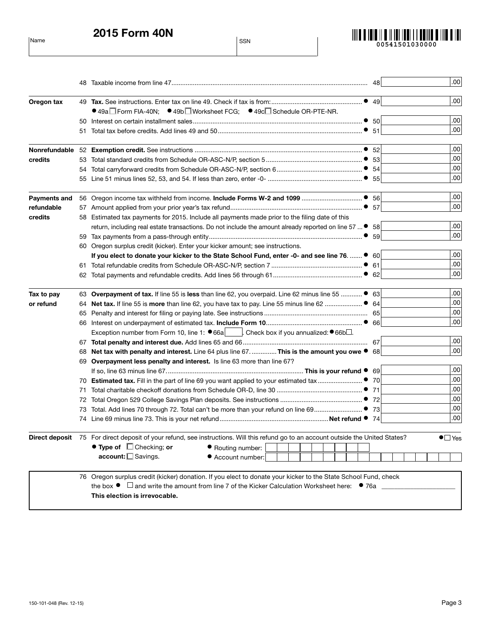Name SSN 2015 Form 40N



|              |    | .00<br>48                                                                                                                                                   |
|--------------|----|-------------------------------------------------------------------------------------------------------------------------------------------------------------|
| Oregon tax   |    | .00                                                                                                                                                         |
|              |    | ● 49a Form FIA-40N; ● 49b Worksheet FCG; ● 49c Schedule OR-PTE-NR.                                                                                          |
|              |    | $.00 \,$                                                                                                                                                    |
|              | 51 | .00 <sub>1</sub>                                                                                                                                            |
|              |    | $.00 \,$<br>52                                                                                                                                              |
| credits      |    | .00<br>-53                                                                                                                                                  |
|              |    | .00<br>-54                                                                                                                                                  |
|              |    | .00 <sub>1</sub><br>55                                                                                                                                      |
| Payments and |    | $.00 \,$<br>56                                                                                                                                              |
| refundable   |    | .00 <sub>1</sub>                                                                                                                                            |
| credits      |    | 58 Estimated tax payments for 2015. Include all payments made prior to the filing date of this                                                              |
|              |    | $.00 \,$<br>return, including real estate transactions. Do not include the amount already reported on line 57  ●<br>58                                      |
|              |    | .00 <sub>1</sub><br>59                                                                                                                                      |
|              |    | 60 Oregon surplus credit (kicker). Enter your kicker amount; see instructions.                                                                              |
|              |    | $.00 \,$<br>60<br>If you elect to donate your kicker to the State School Fund, enter -0- and see line 76.  ●                                                |
|              |    | $.00 \,$<br>61                                                                                                                                              |
|              |    | .00 <sub>1</sub>                                                                                                                                            |
| Tax to pay   |    | $.00 \,$<br>63 Overpayment of tax. If line 55 is less than line 62, you overpaid. Line 62 minus line 55  ●<br>63                                            |
| or refund    |    | .00 <sub>1</sub><br>64                                                                                                                                      |
|              |    | $.00 \,$                                                                                                                                                    |
|              |    | .00 <sub>1</sub><br>66                                                                                                                                      |
|              |    | Exception number from Form 10, line 1: $\bullet$ 66a [cacc]. Check box if you annualized: $\bullet$ 66b.                                                    |
|              |    | .00                                                                                                                                                         |
|              |    | .00 <sub>1</sub><br>68 Net tax with penalty and interest. Line 64 plus line 67. This is the amount you owe ● 68                                             |
|              |    | 69 Overpayment less penalty and interest. Is line 63 more than line 67?                                                                                     |
|              |    | $.00 \,$<br>69                                                                                                                                              |
|              |    | .00<br>70                                                                                                                                                   |
|              | 71 | .00<br>71                                                                                                                                                   |
|              |    | .00<br>72                                                                                                                                                   |
|              | 73 | .00<br>-73                                                                                                                                                  |
|              |    | .00 <sub>1</sub>                                                                                                                                            |
|              |    | Direct deposit 75 For direct deposit of your refund, see instructions. Will this refund go to an account outside the United States?<br>$\bullet$ $\Box$ Yes |
|              |    | $\bullet$ Type of $\Box$ Checking; or<br>Routing number:                                                                                                    |
|              |    | account: Savings.<br>Account number:                                                                                                                        |
|              |    | 76 Oregon surplus credit (kicker) donation. If you elect to donate your kicker to the State School Fund, check                                              |
|              |    | the box $\bullet$ $\Box$ and write the amount from line 7 of the Kicker Calculation Worksheet here: $\bullet$ 76a $\Box$                                    |
|              |    | This election is irrevocable.                                                                                                                               |